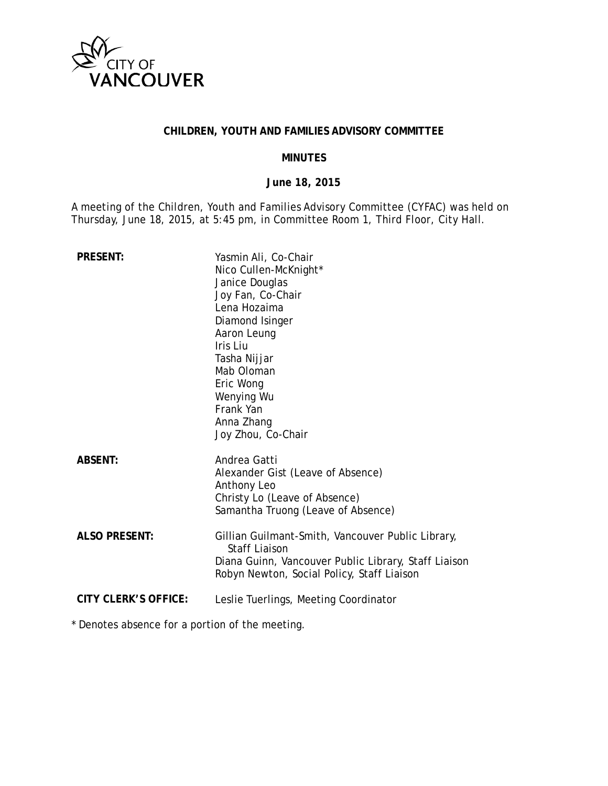

### **CHILDREN, YOUTH AND FAMILIES ADVISORY COMMITTEE**

#### **MINUTES**

#### **June 18, 2015**

A meeting of the Children, Youth and Families Advisory Committee (CYFAC) was held on Thursday, June 18, 2015, at 5:45 pm, in Committee Room 1, Third Floor, City Hall.

| <b>PRESENT:</b>      | Yasmin Ali, Co-Chair<br>Nico Cullen-McKnight*<br>Janice Douglas<br>Joy Fan, Co-Chair<br>Lena Hozaima<br>Diamond Isinger<br>Aaron Leung<br>Iris Liu<br>Tasha Nijjar<br>Mab Oloman<br>Eric Wong<br>Wenying Wu<br>Frank Yan<br>Anna Zhang<br>Joy Zhou, Co-Chair |
|----------------------|--------------------------------------------------------------------------------------------------------------------------------------------------------------------------------------------------------------------------------------------------------------|
| <b>ABSENT:</b>       | Andrea Gatti<br>Alexander Gist (Leave of Absence)<br>Anthony Leo<br>Christy Lo (Leave of Absence)<br>Samantha Truong (Leave of Absence)                                                                                                                      |
| <b>ALSO PRESENT:</b> | Gillian Guilmant-Smith, Vancouver Public Library,<br><b>Staff Liaison</b><br>Diana Guinn, Vancouver Public Library, Staff Liaison<br>Robyn Newton, Social Policy, Staff Liaison                                                                              |
| CITY CLERK'S OFFICE: | Leslie Tuerlings, Meeting Coordinator                                                                                                                                                                                                                        |

\* Denotes absence for a portion of the meeting.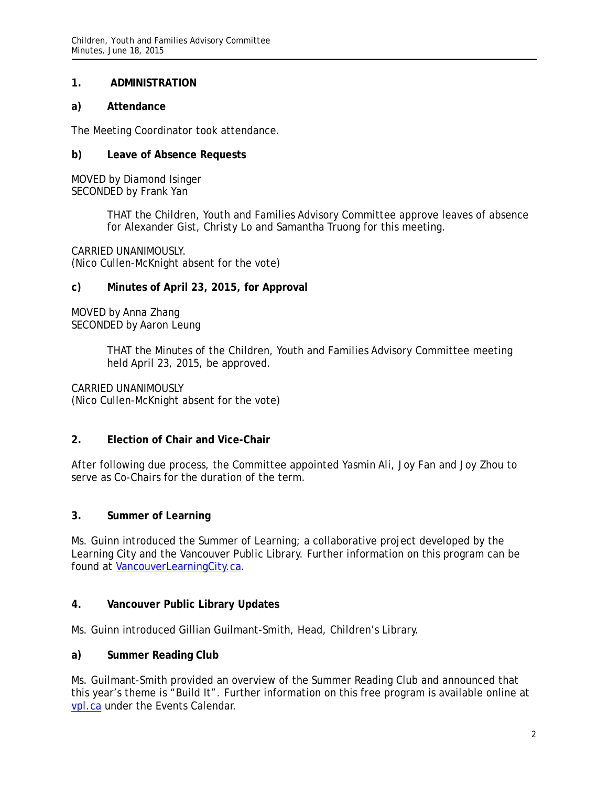### **1. ADMINISTRATION**

### **a) Attendance**

The Meeting Coordinator took attendance.

### **b) Leave of Absence Requests**

MOVED by Diamond Isinger SECONDED by Frank Yan

> THAT the Children, Youth and Families Advisory Committee approve leaves of absence for Alexander Gist, Christy Lo and Samantha Truong for this meeting.

CARRIED UNANIMOUSLY. (Nico Cullen-McKnight absent for the vote)

#### **c) Minutes of April 23, 2015, for Approval**

MOVED by Anna Zhang SECONDED by Aaron Leung

> THAT the Minutes of the Children, Youth and Families Advisory Committee meeting held April 23, 2015, be approved.

CARRIED UNANIMOUSLY (Nico Cullen-McKnight absent for the vote)

## **2. Election of Chair and Vice-Chair**

After following due process, the Committee appointed Yasmin Ali, Joy Fan and Joy Zhou to serve as Co-Chairs for the duration of the term.

## **3. Summer of Learning**

Ms. Guinn introduced the Summer of Learning; a collaborative project developed by the Learning City and the Vancouver Public Library. Further information on this program can be found at VancouverLearningCity.ca.

## **4. Vancouver Public Library Updates**

Ms. Guinn introduced Gillian Guilmant-Smith, Head, Children's Library.

#### **a) Summer Reading Club**

Ms. Guilmant-Smith provided an overview of the Summer Reading Club and announced that this year's theme is "Build It". Further information on this free program is available online at vpl.ca under the Events Calendar.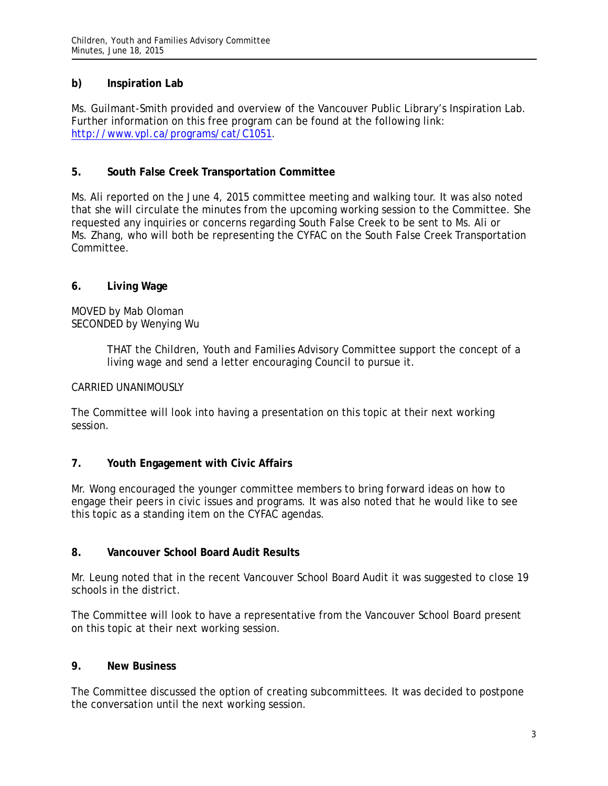## **b) Inspiration Lab**

Ms. Guilmant-Smith provided and overview of the Vancouver Public Library's Inspiration Lab. Further information on this free program can be found at the following link: [http://www.vpl.ca/programs/cat/C1051.](http://www.vpl.ca/programs/cat/C1051)

## **5. South False Creek Transportation Committee**

Ms. Ali reported on the June 4, 2015 committee meeting and walking tour. It was also noted that she will circulate the minutes from the upcoming working session to the Committee. She requested any inquiries or concerns regarding South False Creek to be sent to Ms. Ali or Ms. Zhang, who will both be representing the CYFAC on the South False Creek Transportation Committee.

## **6. Living Wage**

MOVED by Mab Oloman SECONDED by Wenying Wu

> THAT the Children, Youth and Families Advisory Committee support the concept of a living wage and send a letter encouraging Council to pursue it.

### CARRIED UNANIMOUSLY

The Committee will look into having a presentation on this topic at their next working session.

## **7. Youth Engagement with Civic Affairs**

Mr. Wong encouraged the younger committee members to bring forward ideas on how to engage their peers in civic issues and programs. It was also noted that he would like to see this topic as a standing item on the CYFAC agendas.

#### **8. Vancouver School Board Audit Results**

Mr. Leung noted that in the recent Vancouver School Board Audit it was suggested to close 19 schools in the district.

The Committee will look to have a representative from the Vancouver School Board present on this topic at their next working session.

## **9. New Business**

The Committee discussed the option of creating subcommittees. It was decided to postpone the conversation until the next working session.